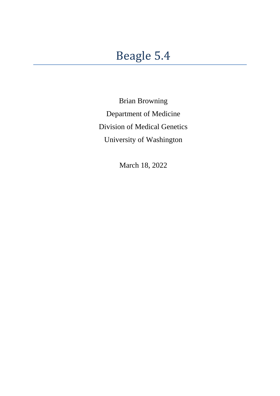Brian Browning Department of Medicine Division of Medical Genetics University of Washington

March 18, 2022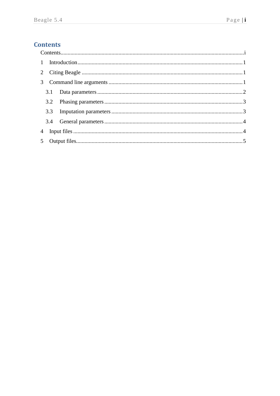# <span id="page-1-0"></span>**Contents**

| $\mathbf{1}$ |  |  |  |  |
|--------------|--|--|--|--|
| 2            |  |  |  |  |
|              |  |  |  |  |
|              |  |  |  |  |
|              |  |  |  |  |
|              |  |  |  |  |
|              |  |  |  |  |
|              |  |  |  |  |
|              |  |  |  |  |
|              |  |  |  |  |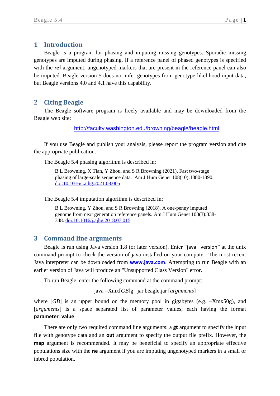### <span id="page-2-0"></span>**1 Introduction**

Beagle is a program for phasing and imputing missing genotypes. Sporadic missing genotypes are imputed during phasing. If a reference panel of phased genotypes is specified with the **ref** argument, ungenotyped markers that are present in the reference panel can also be imputed. Beagle version 5 does not infer genotypes from genotype likelihood input data, but Beagle versions 4.0 and 4.1 have this capability.

### <span id="page-2-1"></span>**2 Citing Beagle**

The Beagle software program is freely available and may be downloaded from the Beagle web site:

<http://faculty.washington.edu/browning/beagle/beagle.html>

If you use Beagle and publish your analysis, please report the program version and cite the appropriate publication.

The Beagle 5.4 phasing algorithm is described in:

B L Browning, X Tian, Y Zhou, and S R Browning (2021). Fast two-stage phasing of large-scale sequence data. Am J Hum Genet 108(10):1880-1890. [doi:10.1016/j.ajhg.2021.08.005](https://doi.org/10.1016/j.ajhg.2021.08.005)

The Beagle 5.4 imputation algorithm is described in:

B L Browning, Y Zhou, and S R Browning (2018). A one-penny imputed genome from next generation reference panels. Am J Hum Genet 103(3):338- 348. [doi:10.1016/j.ajhg.2018.07.015](https://doi.org/10.1016/j.ajhg.2018.07.015)

#### <span id="page-2-2"></span>**3 Command line arguments**

Beagle is run using Java version 1.8 (or later version). Enter "java –version" at the unix command prompt to check the version of java installed on your computer. The most recent Java interpreter can be downloaded from **[www.java.com](http://www.java.com/)**. Attempting to run Beagle with an earlier version of Java will produce an "Unsupported Class Version" error.

To run Beagle, enter the following command at the command prompt:

java –Xmx[*GB*]g –jar beagle.jar [*arguments*]

where [*GB*] is an upper bound on the memory pool in gigabytes (e.g.  $-Xmx50g$ ), and [*arguments*] is a space separated list of parameter values, each having the format **parameter=value**.

There are only two required command line arguments: a **gt** argument to specify the input file with genotype data and an **out** argument to specify the output file prefix. However, the **map** argument is recommended. It may be beneficial to specify an appropriate effective populations size with the **ne** argument if you are imputing ungenotyped markers in a small or inbred population.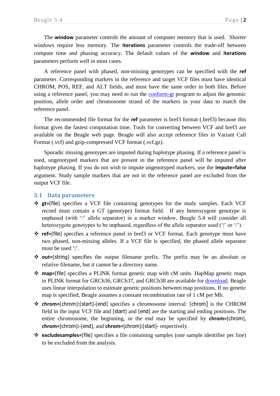The **window** parameter controls the amount of computer memory that is used. Shorter windows require less memory. The **iterations** parameter controls the trade-off between compute time and phasing accuracy. The default values of the **window** and **iterations** parameters perform well in most cases.

A reference panel with phased, non-missing genotypes can be specified with the **ref** parameter. Corresponding markers in the reference and target VCF files must have identical CHROM, POS, REF, and ALT fields, and must have the same order in both files. Before using a reference panel, you may need to run the [conform-gt](http://faculty.washington.edu/browning/conform-gt.html) program to adjust the genomic position, allele order and chromosome strand of the markers in your data to match the reference panel.

The recommended file format for the **ref** parameter is bref3 format (.bref3) because this format gives the fastest computation time. Tools for converting between VCF and bref3 are available on the Beagle web page. Beagle will also accept reference files in Variant Call Format (.vcf) and gzip-compressed VCF format (.vcf.gz).

Sporadic missing genotypes are imputed during haplotype phasing. If a reference panel is used, ungenotyped markers that are present in the reference panel will be imputed after haplotype phasing. If you do not wish to impute ungenotyped markers, use the **impute=false** argument. Study sample markers that are not in the reference panel are excluded from the output VCF file.

#### <span id="page-3-0"></span>**3.1 Data parameters**

- ❖ **gt=**[file] specifies a VCF file containing genotypes for the study samples. Each VCF record must contain a GT (genotype) format field. If any heterozygote genotype is unphased (with '/' allele separator) in a marker window, Beagle 5.4 will consider all heterozygote genotypes to be unphased, regardless of the allele separator used ('|' or '/').
- ❖ **ref=**[file] specifies a reference panel in bref3 or VCF format. Each genotype must have two phased, non-missing alleles. If a VCF file is specified, the phased allele separator must be used '|'.
- ❖ **out=**[string] specifies the output filename prefix. The prefix may be an absolute or relative filename, but it cannot be a directory name.
- ❖ **map=**[file] specifies a PLINK format genetic map with cM units. HapMap genetic maps in PLINK format for GRCh36, GRCh37, and GRCh38 are available for [download.](http://bochet.gcc.biostat.washington.edu/beagle/genetic_maps/) Beagle uses linear interpolation to estimate genetic positions between map positions. If no genetic map is specified, Beagle assumes a constant recombination rate of 1 cM per Mb.
- ❖ **chrom=**[chrom]**:**[start]**-**[end] specifies a chromosome interval: [chrom] is the CHROM field in the input VCF file and [start] and [end] are the starting and ending positions. The entire chromosome, the beginning, or the end may be specified by **chrom=**[chrom], **chrom=**[chrom]**:-**[end], and **chrom=**[chrom]**:**[start]**-** respectively.
- ❖ **excludesamples=**[file] specifies a file containing samples (one sample identifier per line) to be excluded from the analysis.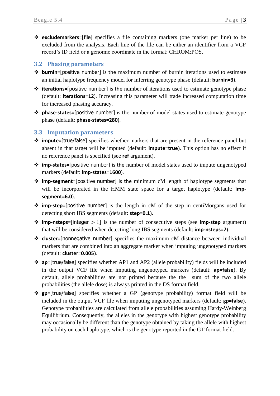❖ **excludemarkers=**[file] specifies a file containing markers (one marker per line) to be excluded from the analysis. Each line of the file can be either an identifier from a VCF record's ID field or a genomic coordinate in the format: CHROM:POS.

#### <span id="page-4-0"></span>**3.2 Phasing parameters**

- ❖ **burnin=**[positive number] is the maximum number of burnin iterations used to estimate an initial haplotype frequency model for inferring genotype phase (default: **burnin=3**).
- ❖ **iterations=**[positive number] is the number of iterations used to estimate genotype phase (default: **iterations=12**). Increasing this parameter will trade increased computation time for increased phasing accuracy.
- ❖ **phase-states=**[positive number] is the number of model states used to estimate genotype phase (default: **phase-states=280**).

#### <span id="page-4-1"></span>**3.3 Imputation parameters**

- ❖ **impute=**[true/false] specifies whether markers that are present in the reference panel but absent in that target will be imputed (default: **impute=true**). This option has no effect if no reference panel is specified (see **ref** argument).
- ❖ **imp-states=**[positive number] is the number of model states used to impute ungenotyped markers (default: **imp-states=1600**).
- ❖ **imp-segment=**[positive number] is the minimum cM length of haplotype segments that will be incorporated in the HMM state space for a target haplotype (default: **impsegment=6.0**).
- ❖ **imp-step=**[positive number] is the length in cM of the step in centiMorgans used for detecting short IBS segments (default: **step=0.1**).
- ❖ **imp-nsteps=**[integer > 1] is the number of consecutive steps (see **imp-step** argument) that will be considered when detecting long IBS segments (default: **imp-nsteps=7**).
- ❖ **cluster=**[nonnegative number] specifies the maximum cM distance between individual markers that are combined into an aggregate marker when imputing ungenotyped markers (default: **cluster=0.005**).
- ❖ **ap=**[true/false] specifies whether AP1 and AP2 (allele probability) fields will be included in the output VCF file when imputing ungenotyped markers (default: **ap=false**). By default, allele probabilities are not printed because the the sum of the two allele probabilities (the allele dose) is always printed in the DS format field.
- ❖ **gp=**[true/false] specifies whether a GP (genotype probability) format field will be included in the output VCF file when imputing ungenotyped markers (default: **gp=false**). Genotype probabilities are calculated from allele probabilities assuming Hardy-Weinberg Equilibrium. Consequently, the alleles in the genotype with highest genotype probability may occasionally be different than the genotype obtained by taking the allele with highest probability on each haplotype, which is the genotype reported in the GT format field.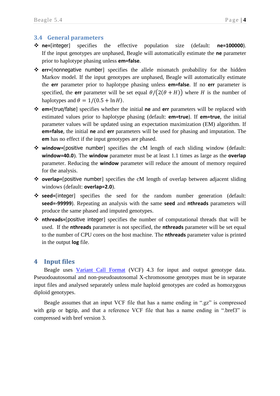#### <span id="page-5-0"></span>**3.4 General parameters**

- ❖ **ne=**[integer] specifies the effective population size (default: **ne=100000**). If the input genotypes are unphased, Beagle will automatically estimate the **ne** parameter prior to haplotype phasing unless **em=false**.
- ❖ **err=**[nonnegative number] specifies the allele mismatch probability for the hidden Markov model. If the input genotypes are unphased, Beagle will automatically estimate the **err** parameter prior to haplotype phasing unless **em=false**. If no **err** parameter is specified, the **err** parameter will be set equal  $\theta/(2(\theta + H))$  where *H* is the number of haplotypes and  $\theta = 1/(0.5 + \ln H)$ .
- ❖ **em=**[true/false] specifies whether the initial **ne** and **err** parameters will be replaced with estimated values prior to haplotype phasing (default: **em=true**). If **em=true**, the initial parameter values will be updated using an expectation maximization (EM) algorithm. If **em=false**, the initial **ne** and **err** parameters will be used for phasing and imputation. The **em** has no effect if the input genotypes are phased.
- ❖ **window=**[positive number] specifies the cM length of each sliding window (default: **window=40.0**). The **window** parameter must be at least 1.1 times as large as the **overlap** parameter. Reducing the **window** parameter will reduce the amount of memory required for the analysis.
- ❖ **overlap=**[positive number] specifies the cM length of overlap between adjacent sliding windows (default: **overlap=2.0**).
- ❖ **seed=**[integer] specifies the seed for the random number generation (default: **seed=-99999**). Repeating an analysis with the same **seed** and **nthreads** parameters will produce the same phased and imputed genotypes.
- ❖ **nthreads=**[positive integer] specifies the number of computational threads that will be used. If the **nthreads** parameter is not specified, the **nthreads** parameter will be set equal to the number of CPU cores on the host machine. The **nthreads** parameter value is printed in the output **log** file.

### <span id="page-5-1"></span>**4 Input files**

Beagle uses [Variant Call Format](http://faculty.washington.edu/browning/beagle/intro-to-vcf.html) (VCF) 4.3 for input and output genotype data. Pseuodoautosomal and non-pseudoautosomal X-chromosome genotypes must be in separate input files and analysed separately unless male haploid genotypes are coded as homozygous diploid genotypes.

Beagle assumes that an input VCF file that has a name ending in ".gz" is compressed with gzip or bgzip, and that a reference VCF file that has a name ending in ".bref3" is compressed with bref version 3.